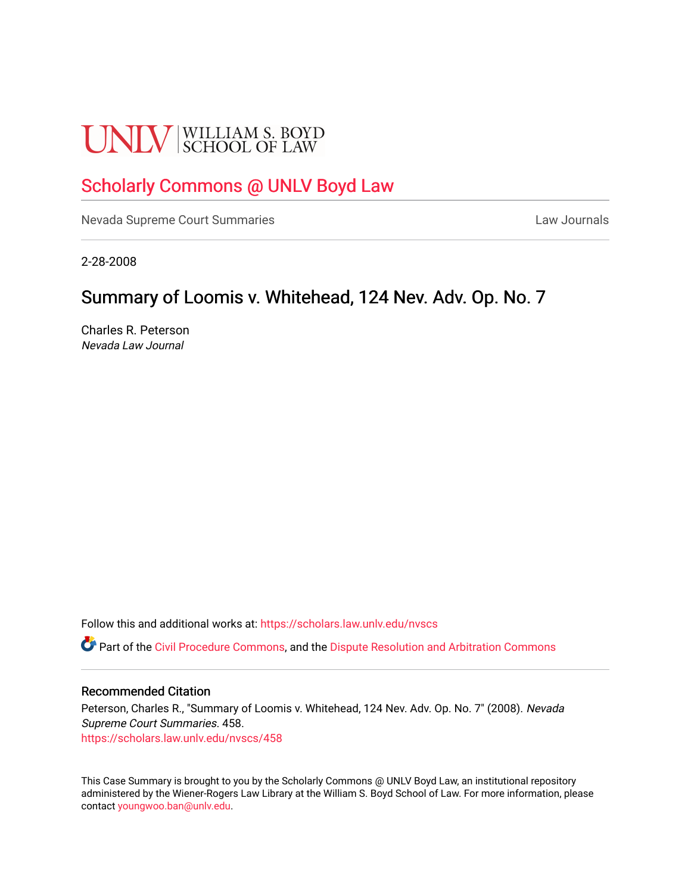# **UNLV** SCHOOL OF LAW

# [Scholarly Commons @ UNLV Boyd Law](https://scholars.law.unlv.edu/)

[Nevada Supreme Court Summaries](https://scholars.law.unlv.edu/nvscs) **Law Journals** Law Journals

2-28-2008

## Summary of Loomis v. Whitehead, 124 Nev. Adv. Op. No. 7

Charles R. Peterson Nevada Law Journal

Follow this and additional works at: [https://scholars.law.unlv.edu/nvscs](https://scholars.law.unlv.edu/nvscs?utm_source=scholars.law.unlv.edu%2Fnvscs%2F458&utm_medium=PDF&utm_campaign=PDFCoverPages)

**C** Part of the [Civil Procedure Commons,](http://network.bepress.com/hgg/discipline/584?utm_source=scholars.law.unlv.edu%2Fnvscs%2F458&utm_medium=PDF&utm_campaign=PDFCoverPages) and the Dispute Resolution and Arbitration Commons

#### Recommended Citation

Peterson, Charles R., "Summary of Loomis v. Whitehead, 124 Nev. Adv. Op. No. 7" (2008). Nevada Supreme Court Summaries. 458. [https://scholars.law.unlv.edu/nvscs/458](https://scholars.law.unlv.edu/nvscs/458?utm_source=scholars.law.unlv.edu%2Fnvscs%2F458&utm_medium=PDF&utm_campaign=PDFCoverPages)

This Case Summary is brought to you by the Scholarly Commons @ UNLV Boyd Law, an institutional repository administered by the Wiener-Rogers Law Library at the William S. Boyd School of Law. For more information, please contact [youngwoo.ban@unlv.edu](mailto:youngwoo.ban@unlv.edu).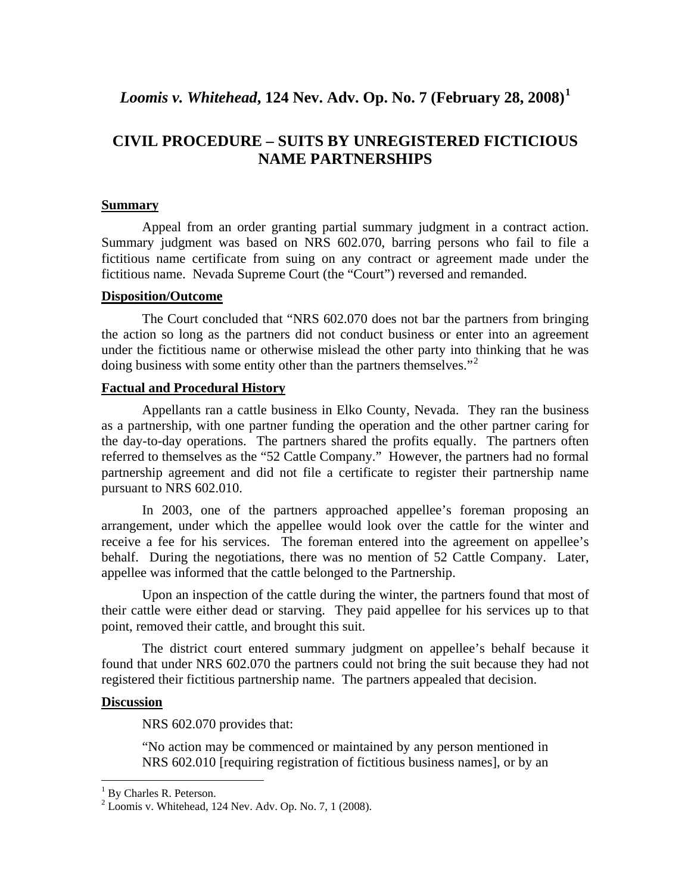## *Loomis v. Whitehead***, 124 Nev. Adv. Op. No. 7 (February 28, 2008)[1](#page-1-0)**

## **CIVIL PROCEDURE – SUITS BY UNREGISTERED FICTICIOUS NAME PARTNERSHIPS**

#### **Summary**

Appeal from an order granting partial summary judgment in a contract action. Summary judgment was based on NRS 602.070, barring persons who fail to file a fictitious name certificate from suing on any contract or agreement made under the fictitious name. Nevada Supreme Court (the "Court") reversed and remanded.

#### **Disposition/Outcome**

The Court concluded that "NRS 602.070 does not bar the partners from bringing the action so long as the partners did not conduct business or enter into an agreement under the fictitious name or otherwise mislead the other party into thinking that he was doing business with some entity other than the partners themselves."<sup>[2](#page-1-1)</sup>

#### **Factual and Procedural History**

Appellants ran a cattle business in Elko County, Nevada. They ran the business as a partnership, with one partner funding the operation and the other partner caring for the day-to-day operations. The partners shared the profits equally. The partners often referred to themselves as the "52 Cattle Company." However, the partners had no formal partnership agreement and did not file a certificate to register their partnership name pursuant to NRS 602.010.

In 2003, one of the partners approached appellee's foreman proposing an arrangement, under which the appellee would look over the cattle for the winter and receive a fee for his services. The foreman entered into the agreement on appellee's behalf. During the negotiations, there was no mention of 52 Cattle Company. Later, appellee was informed that the cattle belonged to the Partnership.

Upon an inspection of the cattle during the winter, the partners found that most of their cattle were either dead or starving. They paid appellee for his services up to that point, removed their cattle, and brought this suit.

The district court entered summary judgment on appellee's behalf because it found that under NRS 602.070 the partners could not bring the suit because they had not registered their fictitious partnership name. The partners appealed that decision.

#### **Discussion**

 $\overline{a}$ 

NRS 602.070 provides that:

"No action may be commenced or maintained by any person mentioned in NRS 602.010 [requiring registration of fictitious business names], or by an

<span id="page-1-0"></span><sup>&</sup>lt;sup>1</sup> By Charles R. Peterson.

<span id="page-1-1"></span> $2$  Loomis v. Whitehead, 124 Nev. Adv. Op. No. 7, 1 (2008).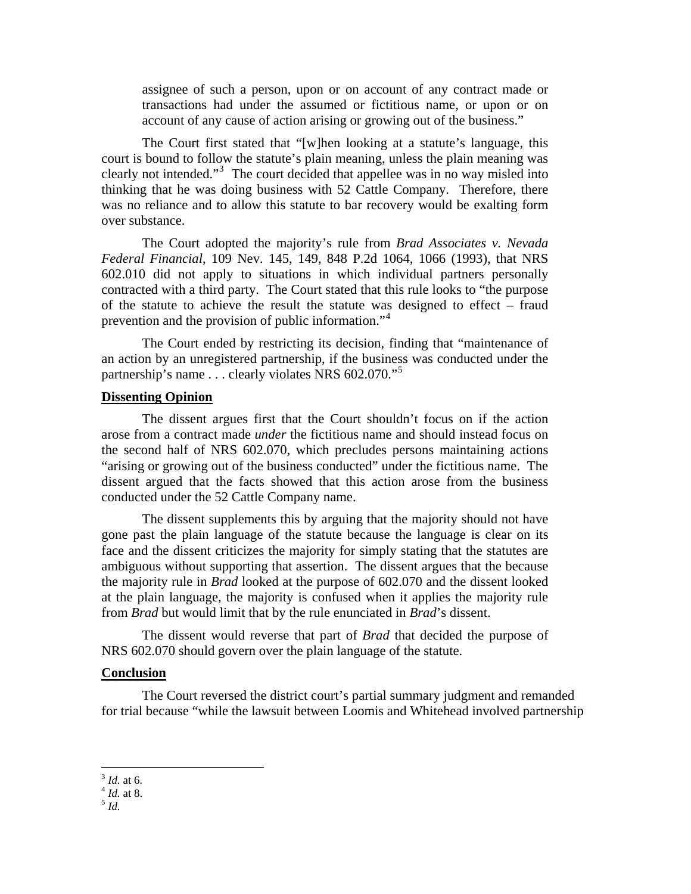assignee of such a person, upon or on account of any contract made or transactions had under the assumed or fictitious name, or upon or on account of any cause of action arising or growing out of the business."

The Court first stated that "[w]hen looking at a statute's language, this court is bound to follow the statute's plain meaning, unless the plain meaning was clearly not intended."[3](#page-2-0) The court decided that appellee was in no way misled into thinking that he was doing business with 52 Cattle Company. Therefore, there was no reliance and to allow this statute to bar recovery would be exalting form over substance.

The Court adopted the majority's rule from *Brad Associates v. Nevada Federal Financial*, 109 Nev. 145, 149, 848 P.2d 1064, 1066 (1993), that NRS 602.010 did not apply to situations in which individual partners personally contracted with a third party. The Court stated that this rule looks to "the purpose of the statute to achieve the result the statute was designed to effect – fraud prevention and the provision of public information."<sup>[4](#page-2-1)</sup>

The Court ended by restricting its decision, finding that "maintenance of an action by an unregistered partnership, if the business was conducted under the partnership's name . . . clearly violates NRS 602.070."<sup>[5](#page-2-2)</sup>

#### **Dissenting Opinion**

The dissent argues first that the Court shouldn't focus on if the action arose from a contract made *under* the fictitious name and should instead focus on the second half of NRS 602.070, which precludes persons maintaining actions "arising or growing out of the business conducted" under the fictitious name. The dissent argued that the facts showed that this action arose from the business conducted under the 52 Cattle Company name.

The dissent supplements this by arguing that the majority should not have gone past the plain language of the statute because the language is clear on its face and the dissent criticizes the majority for simply stating that the statutes are ambiguous without supporting that assertion. The dissent argues that the because the majority rule in *Brad* looked at the purpose of 602.070 and the dissent looked at the plain language, the majority is confused when it applies the majority rule from *Brad* but would limit that by the rule enunciated in *Brad*'s dissent.

The dissent would reverse that part of *Brad* that decided the purpose of NRS 602.070 should govern over the plain language of the statute.

#### **Conclusion**

 The Court reversed the district court's partial summary judgment and remanded for trial because "while the lawsuit between Loomis and Whitehead involved partnership

1

<span id="page-2-0"></span><sup>3</sup> *Id.* at 6. 4 *Id.* at 8. <sup>5</sup> *Id.*

<span id="page-2-1"></span>

<span id="page-2-2"></span>